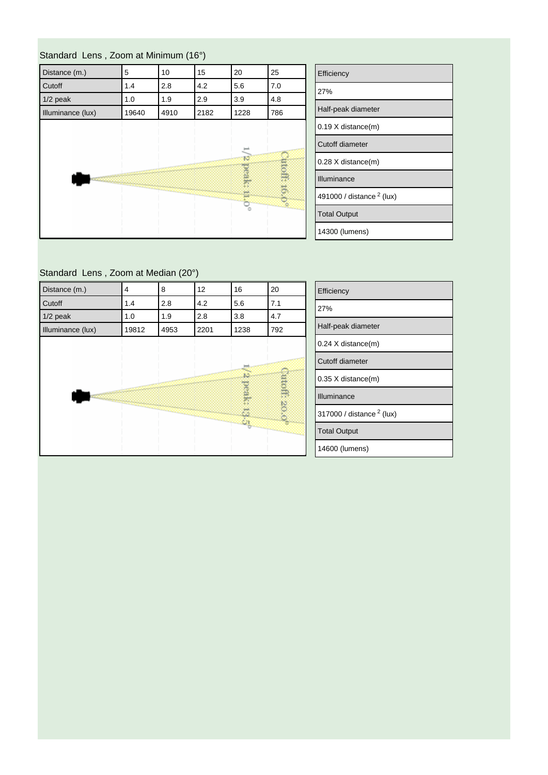## Standard Lens , Zoom at Minimum (16°)

| Distance (m.)     | 5     | 10   | 15   | 20                            | 25               |
|-------------------|-------|------|------|-------------------------------|------------------|
| Cutoff            | 1.4   | 2.8  | 4.2  | 5.6                           | 7.0              |
| $1/2$ peak        | 1.0   | 1.9  | 2.9  | 3.9                           | 4.8              |
| Illuminance (lux) | 19640 | 4910 | 2182 | 1228                          | 786              |
|                   |       |      |      | 10<br><b>Reaks</b><br>₿<br>್ಧ | utoff:1<br>59.93 |

| Efficiency                  |
|-----------------------------|
| 27%                         |
| Half-peak diameter          |
| $0.19$ X distance $(m)$     |
| Cutoff diameter             |
| $0.28$ X distance $(m)$     |
| Illuminance                 |
| 491000 / distance $2$ (lux) |
| <b>Total Output</b>         |
| 14300 (lumens)              |

# Standard Lens , Zoom at Median (20°)

| Distance (m.)     | 4     | 8    | 12   | 16                | 20       |
|-------------------|-------|------|------|-------------------|----------|
| Cutoff            | 1.4   | 2.8  | 4.2  | 5.6               | 7.1      |
| $1/2$ peak        | 1.0   | 1.9  | 2.8  | 3.8               | 4.7      |
| Illuminance (lux) | 19812 | 4953 | 2201 | 1238              | 792      |
|                   |       |      |      | I.C<br>peak: 13.5 | toff: 20 |

| Efficiency                           |
|--------------------------------------|
| 27%                                  |
| Half-peak diameter                   |
| $0.24$ X distance(m)                 |
| Cutoff diameter                      |
| $0.35$ X distance $(m)$              |
| Illuminance                          |
| 317000 / distance <sup>2</sup> (lux) |
| <b>Total Output</b>                  |
| 14600 (lumens)                       |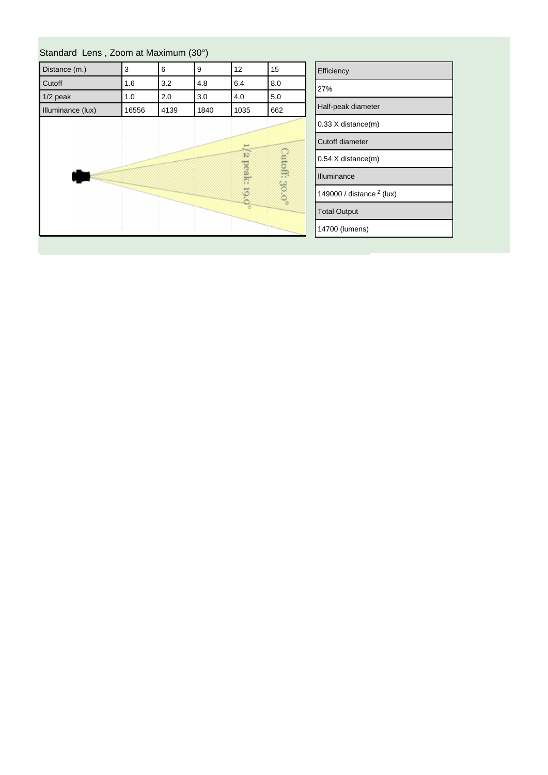| Distance (m.)     | 3     | 6    | 9    | 12            | 15                       |
|-------------------|-------|------|------|---------------|--------------------------|
| Cutoff            | 1.6   | 3.2  | 4.8  | 6.4           | 8.0                      |
| $1/2$ peak        | 1.0   | 2.0  | 3.0  | 4.0           | 5.0                      |
| Illuminance (lux) | 16556 | 4139 | 1840 | 1035          | 662                      |
|                   |       |      |      | 13<br>peak:19 | utoff. 30.0 <sup>°</sup> |

| Efficiency                  |
|-----------------------------|
| 27%                         |
| Half-peak diameter          |
| $0.33$ X distance $(m)$     |
| Cutoff diameter             |
| $0.54$ X distance(m)        |
| Illuminance                 |
| 149000 / distance $2$ (lux) |
| <b>Total Output</b>         |
| 14700 (lumens)              |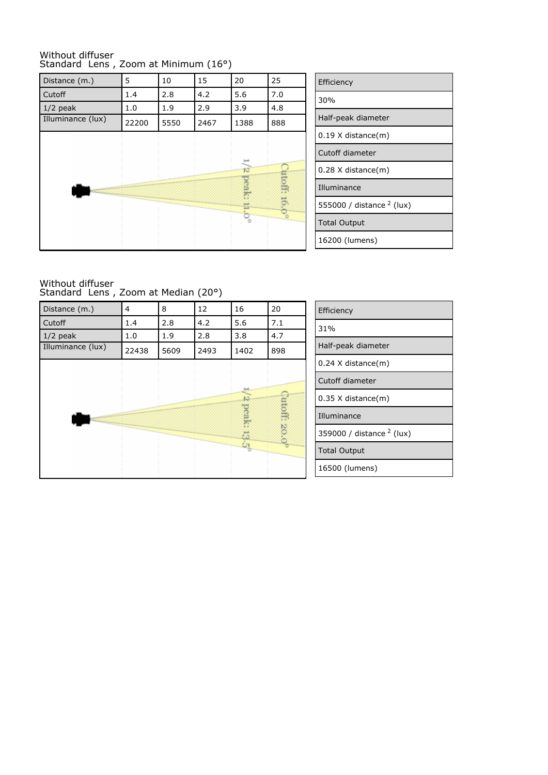### Without diffuser Standard Lens , Zoom at Minimum (16°)

| Distance (m.)     | 5     | 10   | 15   | 20       | 25          |
|-------------------|-------|------|------|----------|-------------|
| Cutoff            | 1.4   | 2.8  | 4.2  | 5.6      | 7.0         |
| $1/2$ peak        | 1.0   | 1.9  | 2.9  | 3.9      | 4.8         |
| Illuminance (lux) | 22200 | 5550 | 2467 | 1388     | 888         |
|                   |       |      |      | 10<br>್ದ | utoff:<br>Ş |

| Efficiency                           |
|--------------------------------------|
| 30%                                  |
| Half-peak diameter                   |
| $0.19$ X distance $(m)$              |
| Cutoff diameter                      |
| $0.28$ X distance $(m)$              |
| Illuminance                          |
| 555000 / distance <sup>2</sup> (lux) |
| <b>Total Output</b>                  |
| 16200 (lumens)                       |

#### Without diffuser Standard Lens , Zoom at Median (20°)

| Distance (m.)     | 4     | 8    | 12   | 16    | 20              | Efficiency          |
|-------------------|-------|------|------|-------|-----------------|---------------------|
| Cutoff            | 1.4   | 2.8  | 4.2  | 5.6   | 7.1             | 31%                 |
| $1/2$ peak        | 1.0   | 1.9  | 2.8  | 3.8   | 4.7             |                     |
| Illuminance (lux) | 22438 | 5609 | 2493 | 1402  | 898             | Half-peak diame     |
|                   |       |      |      |       |                 | 0.24 X distance(    |
|                   |       |      |      |       | Cutoff diameter |                     |
|                   |       |      |      | b5    |                 | 0.35 X distance(    |
|                   |       |      |      | peak: | ntoff           | Illuminance         |
|                   |       |      |      | 13.5  | 20.0            | 359000 / distand    |
|                   |       |      |      |       |                 | <b>Total Output</b> |
|                   |       |      |      |       |                 | 16500 (lumens)      |
|                   |       |      |      |       |                 |                     |

| Efficiency                           |
|--------------------------------------|
| 31%                                  |
| Half-peak diameter                   |
| $0.24$ X distance $(m)$              |
| Cutoff diameter                      |
| $0.35$ X distance $(m)$              |
| Illuminance                          |
| 359000 / distance <sup>2</sup> (lux) |
| <b>Total Output</b>                  |